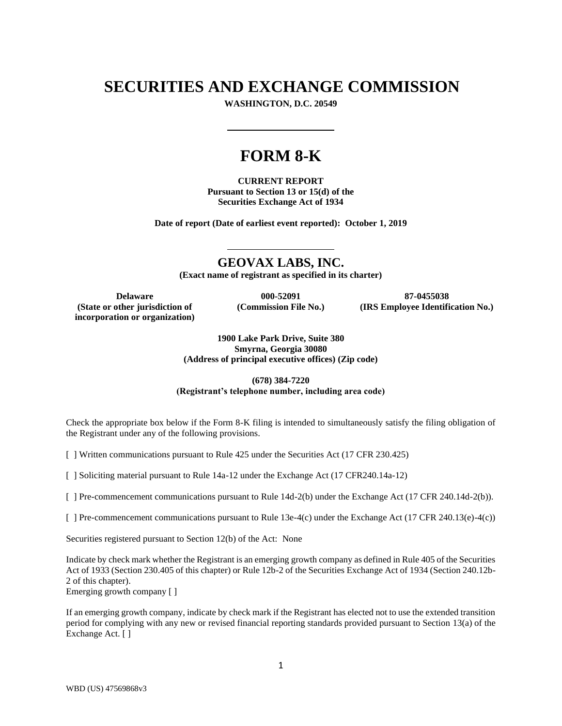# **SECURITIES AND EXCHANGE COMMISSION**

**WASHINGTON, D.C. 20549**

# **FORM 8-K**

**CURRENT REPORT Pursuant to Section 13 or 15(d) of the Securities Exchange Act of 1934**

**Date of report (Date of earliest event reported): October 1, 2019**

**GEOVAX LABS, INC.**

**(Exact name of registrant as specified in its charter)**

**(State or other jurisdiction of incorporation or organization)**

**(Commission File No.)**

**Delaware 000-52091 87-0455038 (IRS Employee Identification No.)**

> **1900 Lake Park Drive, Suite 380 Smyrna, Georgia 30080 (Address of principal executive offices) (Zip code)**

## **(678) 384-7220 (Registrant's telephone number, including area code)**

Check the appropriate box below if the Form 8-K filing is intended to simultaneously satisfy the filing obligation of the Registrant under any of the following provisions.

[ ] Written communications pursuant to Rule 425 under the Securities Act (17 CFR 230.425)

[ ] Soliciting material pursuant to Rule 14a-12 under the Exchange Act (17 CFR240.14a-12)

[ ] Pre-commencement communications pursuant to Rule 14d-2(b) under the Exchange Act (17 CFR 240.14d-2(b)).

[ ] Pre-commencement communications pursuant to Rule 13e-4(c) under the Exchange Act (17 CFR 240.13(e)-4(c))

Securities registered pursuant to Section 12(b) of the Act: None

Indicate by check mark whether the Registrant is an emerging growth company as defined in Rule 405 of the Securities Act of 1933 (Section 230.405 of this chapter) or Rule 12b-2 of the Securities Exchange Act of 1934 (Section 240.12b-2 of this chapter).

Emerging growth company [ ]

If an emerging growth company, indicate by check mark if the Registrant has elected not to use the extended transition period for complying with any new or revised financial reporting standards provided pursuant to Section 13(a) of the Exchange Act. [ ]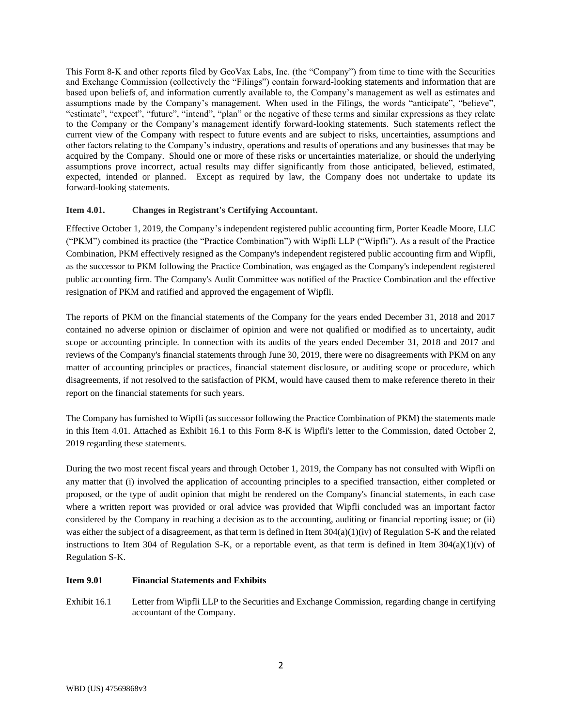This Form 8-K and other reports filed by GeoVax Labs, Inc. (the "Company") from time to time with the Securities and Exchange Commission (collectively the "Filings") contain forward-looking statements and information that are based upon beliefs of, and information currently available to, the Company's management as well as estimates and assumptions made by the Company's management. When used in the Filings, the words "anticipate", "believe", "estimate", "expect", "future", "intend", "plan" or the negative of these terms and similar expressions as they relate to the Company or the Company's management identify forward-looking statements. Such statements reflect the current view of the Company with respect to future events and are subject to risks, uncertainties, assumptions and other factors relating to the Company's industry, operations and results of operations and any businesses that may be acquired by the Company. Should one or more of these risks or uncertainties materialize, or should the underlying assumptions prove incorrect, actual results may differ significantly from those anticipated, believed, estimated, expected, intended or planned. Except as required by law, the Company does not undertake to update its forward-looking statements.

### **Item 4.01. Changes in Registrant's Certifying Accountant.**

Effective October 1, 2019, the Company's independent registered public accounting firm, Porter Keadle Moore, LLC ("PKM") combined its practice (the "Practice Combination") with Wipfli LLP ("Wipfli"). As a result of the Practice Combination, PKM effectively resigned as the Company's independent registered public accounting firm and Wipfli, as the successor to PKM following the Practice Combination, was engaged as the Company's independent registered public accounting firm. The Company's Audit Committee was notified of the Practice Combination and the effective resignation of PKM and ratified and approved the engagement of Wipfli.

The reports of PKM on the financial statements of the Company for the years ended December 31, 2018 and 2017 contained no adverse opinion or disclaimer of opinion and were not qualified or modified as to uncertainty, audit scope or accounting principle. In connection with its audits of the years ended December 31, 2018 and 2017 and reviews of the Company's financial statements through June 30, 2019, there were no disagreements with PKM on any matter of accounting principles or practices, financial statement disclosure, or auditing scope or procedure, which disagreements, if not resolved to the satisfaction of PKM, would have caused them to make reference thereto in their report on the financial statements for such years.

The Company has furnished to Wipfli (as successor following the Practice Combination of PKM) the statements made in this Item 4.01. Attached as Exhibit 16.1 to this Form 8-K is Wipfli's letter to the Commission, dated October 2, 2019 regarding these statements.

During the two most recent fiscal years and through October 1, 2019, the Company has not consulted with Wipfli on any matter that (i) involved the application of accounting principles to a specified transaction, either completed or proposed, or the type of audit opinion that might be rendered on the Company's financial statements, in each case where a written report was provided or oral advice was provided that Wipfli concluded was an important factor considered by the Company in reaching a decision as to the accounting, auditing or financial reporting issue; or (ii) was either the subject of a disagreement, as that term is defined in Item 304(a)(1)(iv) of Regulation S-K and the related instructions to Item 304 of Regulation S-K, or a reportable event, as that term is defined in Item  $304(a)(1)(v)$  of Regulation S-K.

#### **Item 9.01 Financial Statements and Exhibits**

Exhibit 16.1 Letter from Wipfli LLP to the Securities and Exchange Commission, regarding change in certifying accountant of the Company.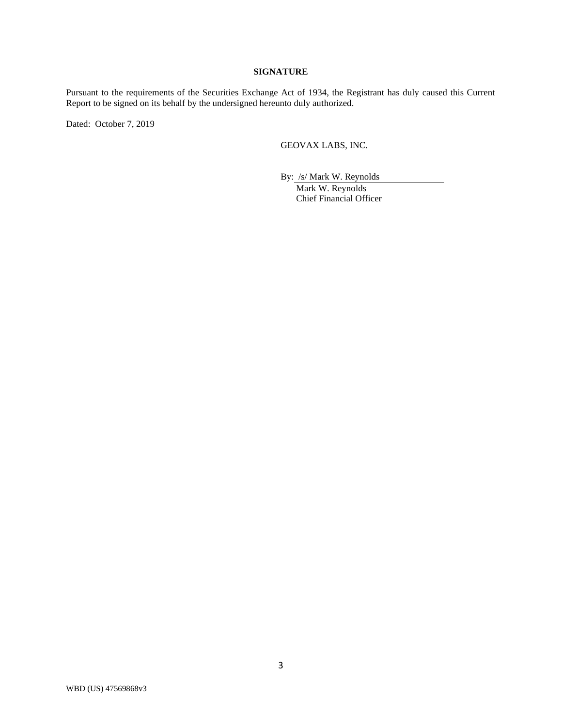## **SIGNATURE**

Pursuant to the requirements of the Securities Exchange Act of 1934, the Registrant has duly caused this Current Report to be signed on its behalf by the undersigned hereunto duly authorized.

Dated: October 7, 2019

GEOVAX LABS, INC.

By: /s/ Mark W. Reynolds

Mark W. Reynolds Chief Financial Officer